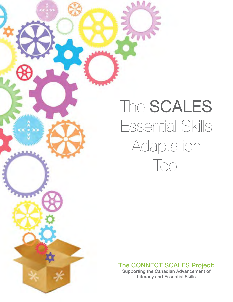## The **SCALES** Essential Skills Adaptation Tool

#### The CONNECT SCALES Project:

Supporting the Canadian Advancement of Literacy and Essential Skills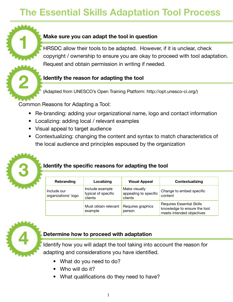## **The Essential Skills Adaptation Tool Process**

#### **Make sure you can adapt the tool in question**

**HRSDC** allow their tools to be adapted. However, if it is unclear, check copyright / ownership to ensure you are okay to proceed with tool adaptation. Request and obtain permission in writing if needed.

#### **Identify the reason for adapting the tool 2**

(Adapted from UNESCO's Open Training Platform: http://opt.unesco-ci.org/)

Common Reasons for Adapting a Tool:

- Re-branding: adding your organizational name, logo and contact information
- Localizing: adding local / relevant examples
- Visual appeal to target audience
- Contextualizing: changing the content and syntax to match characteristics of the local audience and principles espoused by the organization



#### Identify the specific reasons for adapting the tool

| Rebranding                         | Localizing                                        | <b>Visual Appeal</b>                              | Contextualizing                                                                               |
|------------------------------------|---------------------------------------------------|---------------------------------------------------|-----------------------------------------------------------------------------------------------|
| Include our<br>organizations' logo | Include example<br>typical of specific<br>clients | Make visually<br>appealing to specific<br>clients | Change to embed specific<br>content                                                           |
|                                    | Must obtain relevant<br>example                   | Requires graphics<br>person                       | <b>Requires Essential Skills</b><br>knowledge to ensure the tool<br>meets intended objectives |



#### **Determine how to proceed with adaptation 4**

Identify how you will adapt the tool taking into account the reason for adapting and considerations you have identified.

- What do you need to do?
- Who will do it?
- What qualifications do they need to have?